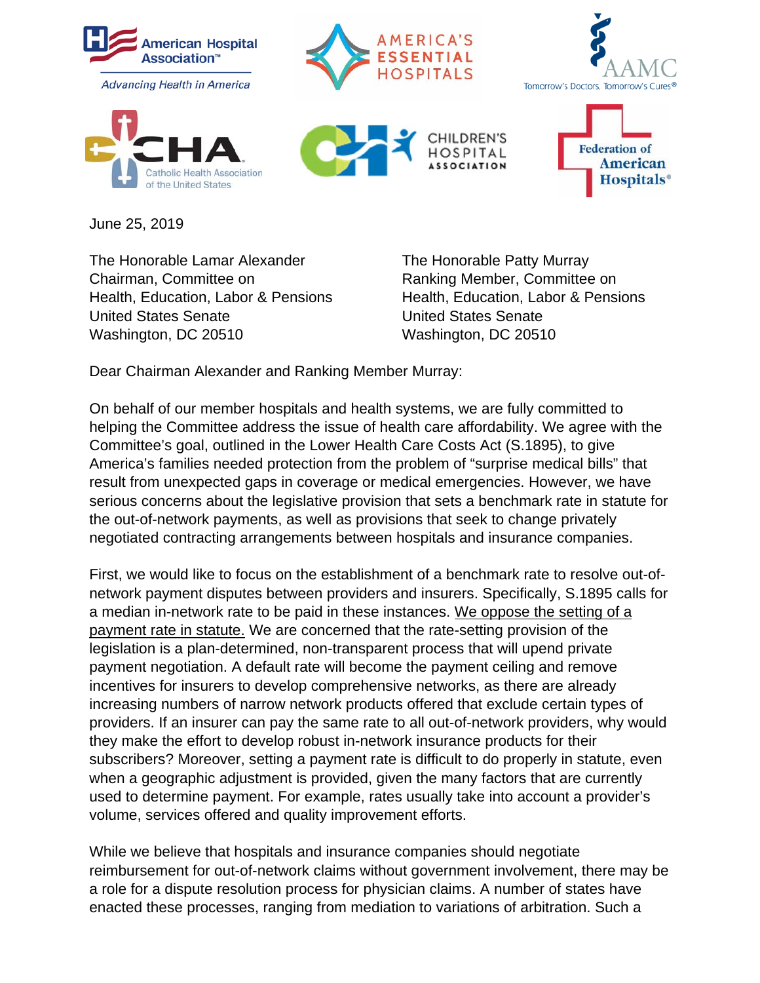

June 25, 2019

The Honorable Lamar Alexander The Honorable Patty Murray Chairman, Committee on Ranking Member, Committee on United States Senate United States Senate Washington, DC 20510 Washington, DC 20510

Health, Education, Labor & Pensions Health, Education, Labor & Pensions

Dear Chairman Alexander and Ranking Member Murray:

On behalf of our member hospitals and health systems, we are fully committed to helping the Committee address the issue of health care affordability. We agree with the Committee's goal, outlined in the Lower Health Care Costs Act (S.1895), to give America's families needed protection from the problem of "surprise medical bills" that result from unexpected gaps in coverage or medical emergencies. However, we have serious concerns about the legislative provision that sets a benchmark rate in statute for the out-of-network payments, as well as provisions that seek to change privately negotiated contracting arrangements between hospitals and insurance companies.

First, we would like to focus on the establishment of a benchmark rate to resolve out-ofnetwork payment disputes between providers and insurers. Specifically, S.1895 calls for a median in-network rate to be paid in these instances. We oppose the setting of a payment rate in statute. We are concerned that the rate-setting provision of the legislation is a plan-determined, non-transparent process that will upend private payment negotiation. A default rate will become the payment ceiling and remove incentives for insurers to develop comprehensive networks, as there are already increasing numbers of narrow network products offered that exclude certain types of providers. If an insurer can pay the same rate to all out-of-network providers, why would they make the effort to develop robust in-network insurance products for their subscribers? Moreover, setting a payment rate is difficult to do properly in statute, even when a geographic adjustment is provided, given the many factors that are currently used to determine payment. For example, rates usually take into account a provider's volume, services offered and quality improvement efforts.

While we believe that hospitals and insurance companies should negotiate reimbursement for out-of-network claims without government involvement, there may be a role for a dispute resolution process for physician claims. A number of states have enacted these processes, ranging from mediation to variations of arbitration. Such a